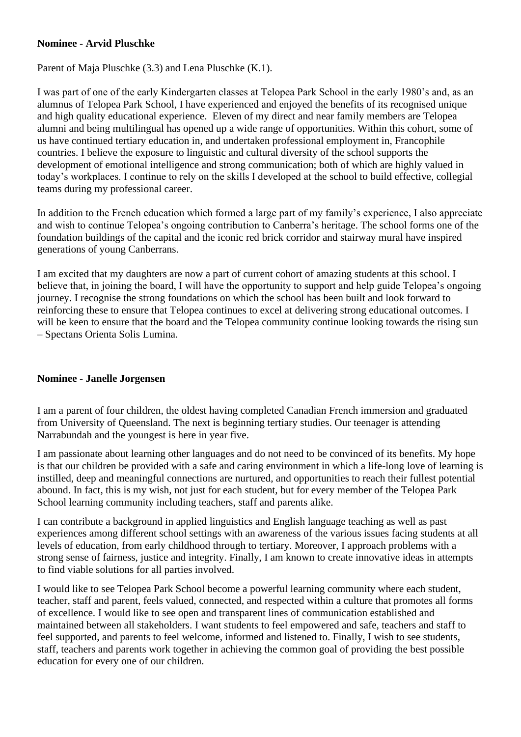### **Nominee - Arvid Pluschke**

Parent of Maja Pluschke (3.3) and Lena Pluschke (K.1).

I was part of one of the early Kindergarten classes at Telopea Park School in the early 1980's and, as an alumnus of Telopea Park School, I have experienced and enjoyed the benefits of its recognised unique and high quality educational experience. Eleven of my direct and near family members are Telopea alumni and being multilingual has opened up a wide range of opportunities. Within this cohort, some of us have continued tertiary education in, and undertaken professional employment in, Francophile countries. I believe the exposure to linguistic and cultural diversity of the school supports the development of emotional intelligence and strong communication; both of which are highly valued in today's workplaces. I continue to rely on the skills I developed at the school to build effective, collegial teams during my professional career.

In addition to the French education which formed a large part of my family's experience, I also appreciate and wish to continue Telopea's ongoing contribution to Canberra's heritage. The school forms one of the foundation buildings of the capital and the iconic red brick corridor and stairway mural have inspired generations of young Canberrans.

I am excited that my daughters are now a part of current cohort of amazing students at this school. I believe that, in joining the board, I will have the opportunity to support and help guide Telopea's ongoing journey. I recognise the strong foundations on which the school has been built and look forward to reinforcing these to ensure that Telopea continues to excel at delivering strong educational outcomes. I will be keen to ensure that the board and the Telopea community continue looking towards the rising sun – Spectans Orienta Solis Lumina.

## **Nominee - Janelle Jorgensen**

I am a parent of four children, the oldest having completed Canadian French immersion and graduated from University of Queensland. The next is beginning tertiary studies. Our teenager is attending Narrabundah and the youngest is here in year five.

I am passionate about learning other languages and do not need to be convinced of its benefits. My hope is that our children be provided with a safe and caring environment in which a life-long love of learning is instilled, deep and meaningful connections are nurtured, and opportunities to reach their fullest potential abound. In fact, this is my wish, not just for each student, but for every member of the Telopea Park School learning community including teachers, staff and parents alike.

I can contribute a background in applied linguistics and English language teaching as well as past experiences among different school settings with an awareness of the various issues facing students at all levels of education, from early childhood through to tertiary. Moreover, I approach problems with a strong sense of fairness, justice and integrity. Finally, I am known to create innovative ideas in attempts to find viable solutions for all parties involved.

I would like to see Telopea Park School become a powerful learning community where each student, teacher, staff and parent, feels valued, connected, and respected within a culture that promotes all forms of excellence. I would like to see open and transparent lines of communication established and maintained between all stakeholders. I want students to feel empowered and safe, teachers and staff to feel supported, and parents to feel welcome, informed and listened to. Finally, I wish to see students, staff, teachers and parents work together in achieving the common goal of providing the best possible education for every one of our children.